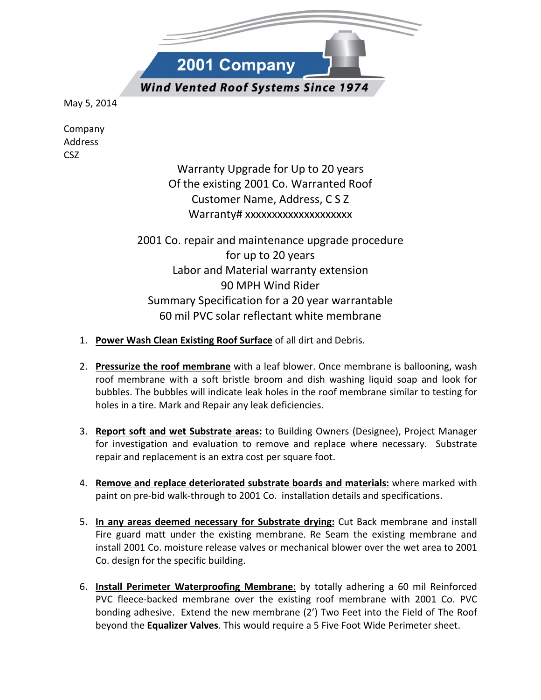F 2001 Company **Wind Vented Roof Systems Since 1974** 

May 5, 2014

Company Address CSZ

> Warranty Upgrade for Up to 20 years Of the existing 2001 Co. Warranted Roof Customer Name, Address, C S Z Warranty# xxxxxxxxxxxxxxxxxx

2001 Co. repair and maintenance upgrade procedure for up to 20 years Labor and Material warranty extension 90 MPH Wind Rider Summary Specification for a 20 year warrantable 60 mil PVC solar reflectant white membrane

- 1. Power Wash Clean Existing Roof Surface of all dirt and Debris.
- 2. Pressurize the roof membrane with a leaf blower. Once membrane is ballooning, wash roof membrane with a soft bristle broom and dish washing liquid soap and look for bubbles. The bubbles will indicate leak holes in the roof membrane similar to testing for holes in a tire. Mark and Repair any leak deficiencies.
- 3. Report soft and wet Substrate areas: to Building Owners (Designee), Project Manager for investigation and evaluation to remove and replace where necessary. Substrate repair and replacement is an extra cost per square foot.
- 4. Remove and replace deteriorated substrate boards and materials: where marked with paint on pre-bid walk-through to 2001 Co. installation details and specifications.
- 5. In any areas deemed necessary for Substrate drying: Cut Back membrane and install Fire guard matt under the existing membrane. Re Seam the existing membrane and install 2001 Co. moisture release valves or mechanical blower over the wet area to 2001 Co. design for the specific building.
- 6. Install Perimeter Waterproofing Membrane: by totally adhering a 60 mil Reinforced PVC fleece-backed membrane over the existing roof membrane with 2001 Co. PVC bonding adhesive. Extend the new membrane (2') Two Feet into the Field of The Roof beyond the Equalizer Valves. This would require a 5 Five Foot Wide Perimeter sheet.